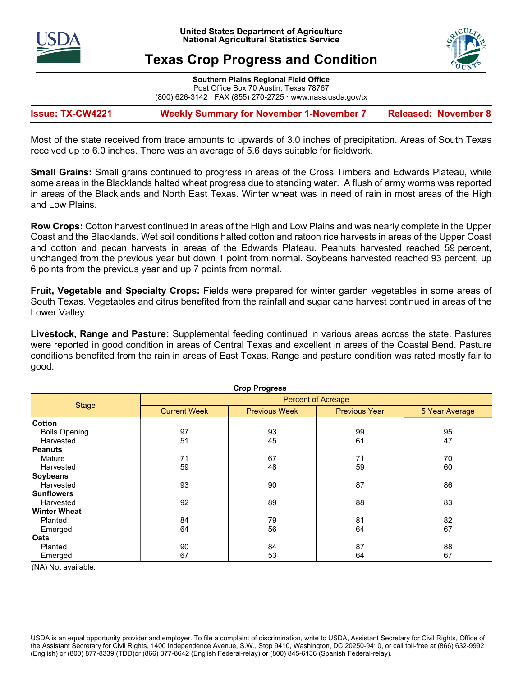



# Texas Crop Progress and Condition

Southern Plains Regional Field Office Post Office Box 70 Austin, Texas 78767 (800) 626-3142 · FAX (855) 270-2725 · www.nass.usda.gov/tx

Issue: TX-CW4221 Weekly Summary for November 1-November 7 Released: November 8

Most of the state received from trace amounts to upwards of 3.0 inches of precipitation. Areas of South Texas received up to 6.0 inches. There was an average of 5.6 days suitable for fieldwork.

**Small Grains:** Small grains continued to progress in areas of the Cross Timbers and Edwards Plateau, while some areas in the Blacklands halted wheat progress due to standing water. A flush of army worms was reported in areas of the Blacklands and North East Texas. Winter wheat was in need of rain in most areas of the High and Low Plains.

Row Crops: Cotton harvest continued in areas of the High and Low Plains and was nearly complete in the Upper Coast and the Blacklands. Wet soil conditions halted cotton and ratoon rice harvests in areas of the Upper Coast and cotton and pecan harvests in areas of the Edwards Plateau. Peanuts harvested reached 59 percent, unchanged from the previous year but down 1 point from normal. Soybeans harvested reached 93 percent, up 6 points from the previous year and up 7 points from normal.

Fruit, Vegetable and Specialty Crops: Fields were prepared for winter garden vegetables in some areas of South Texas. Vegetables and citrus benefited from the rainfall and sugar cane harvest continued in areas of the Lower Valley.

Livestock, Range and Pasture: Supplemental feeding continued in various areas across the state. Pastures were reported in good condition in areas of Central Texas and excellent in areas of the Coastal Bend. Pasture conditions benefited from the rain in areas of East Texas. Range and pasture condition was rated mostly fair to good.

| <b>Crop Progress</b> |                           |                      |                      |                |  |  |  |
|----------------------|---------------------------|----------------------|----------------------|----------------|--|--|--|
|                      | <b>Percent of Acreage</b> |                      |                      |                |  |  |  |
| <b>Stage</b>         | <b>Current Week</b>       | <b>Previous Week</b> | <b>Previous Year</b> | 5 Year Average |  |  |  |
| Cotton               |                           |                      |                      |                |  |  |  |
| <b>Bolls Opening</b> | 97                        | 93                   | 99                   | 95             |  |  |  |
| Harvested            | 51                        | 45                   | 61                   | 47             |  |  |  |
| <b>Peanuts</b>       |                           |                      |                      |                |  |  |  |
| Mature               | 71                        | 67                   | 71                   | 70             |  |  |  |
| Harvested            | 59                        | 48                   | 59                   | 60             |  |  |  |
| <b>Soybeans</b>      |                           |                      |                      |                |  |  |  |
| Harvested            | 93                        | 90                   | 87                   | 86             |  |  |  |
| <b>Sunflowers</b>    |                           |                      |                      |                |  |  |  |
| Harvested            | 92                        | 89                   | 88                   | 83             |  |  |  |
| <b>Winter Wheat</b>  |                           |                      |                      |                |  |  |  |
| Planted              | 84                        | 79                   | 81                   | 82             |  |  |  |
| Emerged              | 64                        | 56                   | 64                   | 67             |  |  |  |
| Oats                 |                           |                      |                      |                |  |  |  |
| Planted              | 90                        | 84                   | 87                   | 88             |  |  |  |
| Emerged              | 67                        | 53                   | 64                   | 67             |  |  |  |

(NA) Not available.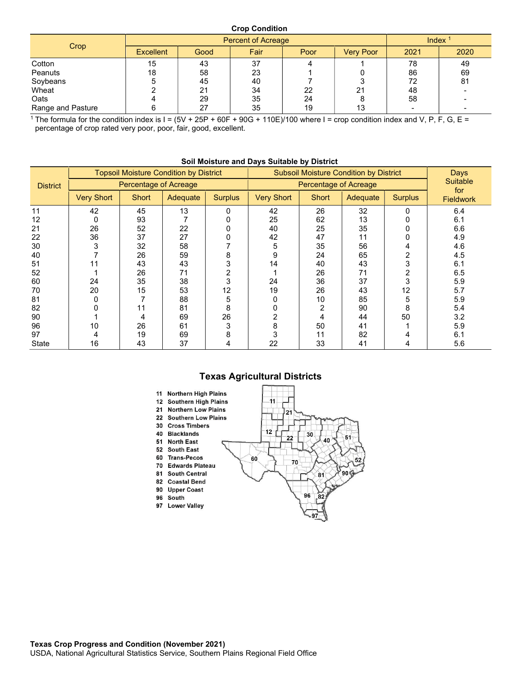#### Crop Condition

| Crop              | <b>Percent of Acreage</b> |      |      |      |                  | Index <sup>1</sup> |      |
|-------------------|---------------------------|------|------|------|------------------|--------------------|------|
|                   | <b>Excellent</b>          | Good | Fair | Poor | <b>Very Poor</b> | 2021               | 2020 |
| Cotton            | 15                        | 43   | 37   |      |                  | 78                 | 49   |
| Peanuts           | 18                        | 58   | 23   |      |                  | 86                 | 69   |
| Soybeans          |                           | 45   | 40   |      |                  | 72                 | 81   |
| Wheat             |                           | 21   | 34   | 22   | 21               | 48                 |      |
| Oats              |                           | 29   | 35   | 24   |                  | 58                 |      |
| Range and Pasture |                           | 27   | 35   | 19   | 13               |                    |      |

 The formula for the condition index is I = (5V + 25P + 60F + 90G + 110E)/100 where I = crop condition index and V, P, F, G, E = percentage of crop rated very poor, poor, fair, good, excellent.

|                 | <b>Topsoil Moisture Condition by District</b> |              |          | <b>Subsoil Moisture Condition by District</b> |                   |              |          | Days<br><b>Suitable</b><br>for |                  |
|-----------------|-----------------------------------------------|--------------|----------|-----------------------------------------------|-------------------|--------------|----------|--------------------------------|------------------|
| <b>District</b> | Percentage of Acreage                         |              |          | Percentage of Acreage                         |                   |              |          |                                |                  |
|                 | <b>Very Short</b>                             | <b>Short</b> | Adequate | <b>Surplus</b>                                | <b>Very Short</b> | <b>Short</b> | Adequate | <b>Surplus</b>                 | <b>Fieldwork</b> |
| 11              | 42                                            | 45           | 13       | 0                                             | 42                | 26           | 32       |                                | 6.4              |
| 12              | 0                                             | 93           |          |                                               | 25                | 62           | 13       |                                | 6.1              |
| 21              | 26                                            | 52           | 22       |                                               | 40                | 25           | 35       |                                | 6.6              |
| 22              | 36                                            | 37           | 27       |                                               | 42                | 47           | 11       |                                | 4.9              |
| 30              | 3                                             | 32           | 58       |                                               | 5                 | 35           | 56       |                                | 4.6              |
| 40              |                                               | 26           | 59       | 8                                             | 9                 | 24           | 65       |                                | 4.5              |
| 51              | 11                                            | 43           | 43       | 3                                             | 14                | 40           | 43       |                                | 6.1              |
| 52              |                                               | 26           | 71       | 2                                             |                   | 26           | 71       |                                | 6.5              |
| 60              | 24                                            | 35           | 38       | 3                                             | 24                | 36           | 37       | 3                              | 5.9              |
| 70              | 20                                            | 15           | 53       | 12                                            | 19                | 26           | 43       | 12                             | 5.7              |
| 81              |                                               |              | 88       | 5                                             |                   | 10           | 85       |                                | 5.9              |
| 82              |                                               | 11           | 81       | 8                                             |                   | 2            | 90       | 8                              | 5.4              |
| 90              |                                               | 4            | 69       | 26                                            |                   | 4            | 44       | 50                             | 3.2              |
| 96              | 10                                            | 26           | 61       | 3                                             | 8                 | 50           | 41       |                                | 5.9              |
| 97              |                                               | 19           | 69       | 8                                             |                   | 11           | 82       |                                | 6.1              |
| <b>State</b>    | 16                                            | 43           | 37       | 4                                             | 22                | 33           | 41       |                                | 5.6              |

#### Soil Moisture and Days Suitable by District

## Texas Agricultural Districts